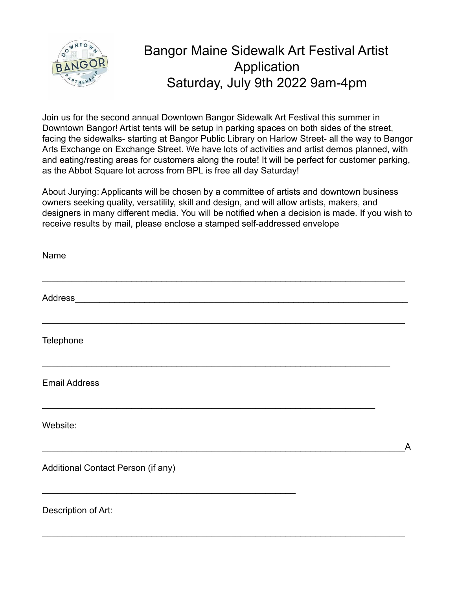

## Bangor Maine Sidewalk Art Festival Artist Application Saturday, July 9th 2022 9am-4pm

Join us for the second annual Downtown Bangor Sidewalk Art Festival this summer in Downtown Bangor! Artist tents will be setup in parking spaces on both sides of the street, facing the sidewalks- starting at Bangor Public Library on Harlow Street- all the way to Bangor Arts Exchange on Exchange Street. We have lots of activities and artist demos planned, with and eating/resting areas for customers along the route! It will be perfect for customer parking, as the Abbot Square lot across from BPL is free all day Saturday!

About Jurying: Applicants will be chosen by a committee of artists and downtown business owners seeking quality, versatility, skill and design, and will allow artists, makers, and designers in many different media. You will be notified when a decision is made. If you wish to receive results by mail, please enclose a stamped self-addressed envelope

| Name                               |                |
|------------------------------------|----------------|
|                                    |                |
| Telephone                          |                |
| <b>Email Address</b>               |                |
| Website:                           | $\overline{A}$ |
| Additional Contact Person (if any) |                |
| Description of Art:                |                |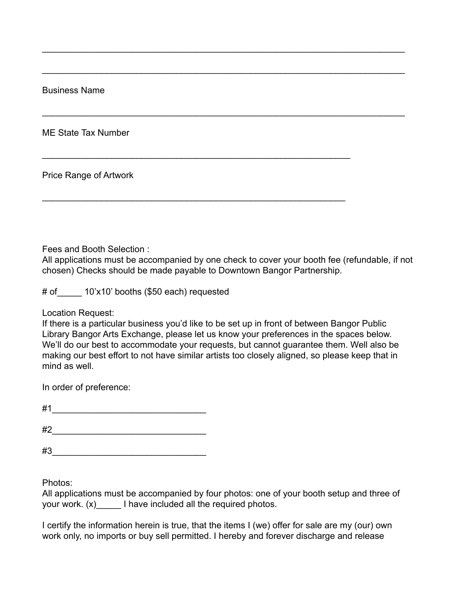Business Name

ME State Tax Number

Price Range of Artwork

Fees and Booth Selection :

All applications must be accompanied by one check to cover your booth fee (refundable, if not chosen) Checks should be made payable to Downtown Bangor Partnership.

 $\mathcal{L}_\text{max}$  and  $\mathcal{L}_\text{max}$  and  $\mathcal{L}_\text{max}$  and  $\mathcal{L}_\text{max}$  and  $\mathcal{L}_\text{max}$  and  $\mathcal{L}_\text{max}$ 

 $\mathcal{L}_\text{max}$  and  $\mathcal{L}_\text{max}$  and  $\mathcal{L}_\text{max}$  and  $\mathcal{L}_\text{max}$  and  $\mathcal{L}_\text{max}$  and  $\mathcal{L}_\text{max}$ 

 $\mathcal{L}_\text{max}$  and  $\mathcal{L}_\text{max}$  and  $\mathcal{L}_\text{max}$  and  $\mathcal{L}_\text{max}$  and  $\mathcal{L}_\text{max}$  and  $\mathcal{L}_\text{max}$ 

 $\mathcal{L}_\text{max}$  , and the contract of the contract of the contract of the contract of the contract of the contract of the contract of the contract of the contract of the contract of the contract of the contract of the contr

 $\mathcal{L}_\text{max} = \mathcal{L}_\text{max} = \mathcal{L}_\text{max} = \mathcal{L}_\text{max} = \mathcal{L}_\text{max} = \mathcal{L}_\text{max} = \mathcal{L}_\text{max} = \mathcal{L}_\text{max} = \mathcal{L}_\text{max} = \mathcal{L}_\text{max} = \mathcal{L}_\text{max} = \mathcal{L}_\text{max} = \mathcal{L}_\text{max} = \mathcal{L}_\text{max} = \mathcal{L}_\text{max} = \mathcal{L}_\text{max} = \mathcal{L}_\text{max} = \mathcal{L}_\text{max} = \mathcal{$ 

# of  $\qquad$  10'x10' booths (\$50 each) requested

Location Request:

If there is a particular business you'd like to be set up in front of between Bangor Public Library Bangor Arts Exchange, please let us know your preferences in the spaces below. We'll do our best to accommodate your requests, but cannot guarantee them. Well also be making our best effort to not have similar artists too closely aligned, so please keep that in mind as well.

In order of preference:

 $\#1$ 

 $\#2$ 

 $\#3$ 

Photos:

All applications must be accompanied by four photos: one of your booth setup and three of your work. (x) I have included all the required photos.

I certify the information herein is true, that the items I (we) offer for sale are my (our) own work only, no imports or buy sell permitted. I hereby and forever discharge and release